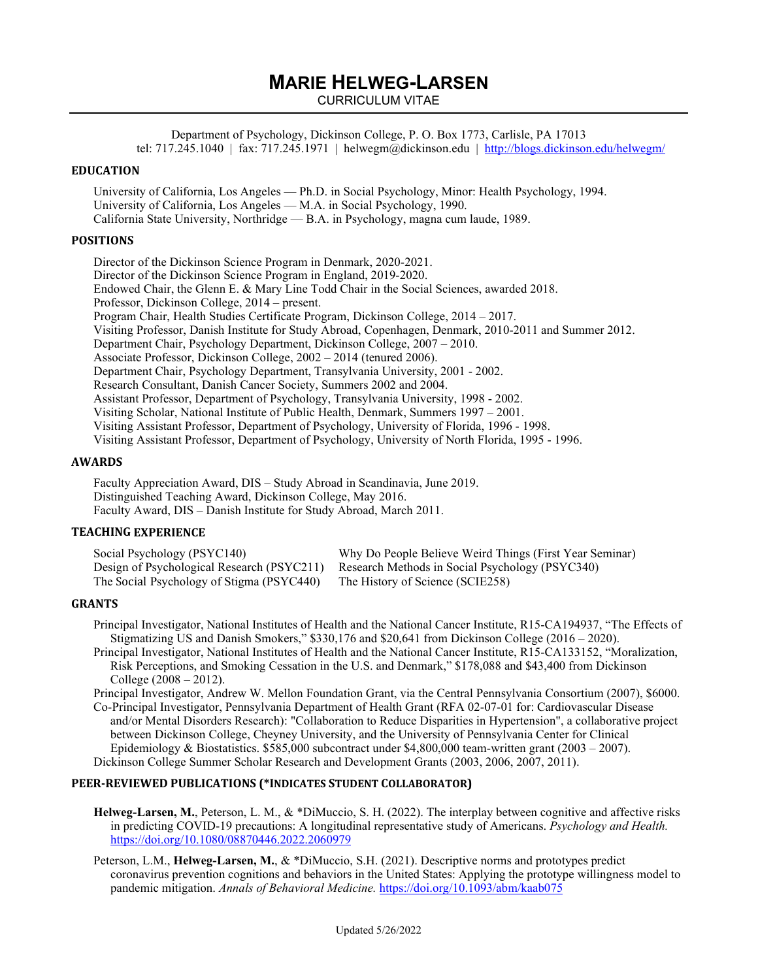# **MARIE HELWEG-LARSEN**

CURRICULUM VITAE

Department of Psychology, Dickinson College, P. O. Box 1773, Carlisle, PA 17013 tel: 717.245.1040 | fax: 717.245.1971 | helwegm@dickinson.edu |<http://blogs.dickinson.edu/helwegm/>

## **EDUCATION**

University of California, Los Angeles — Ph.D. in Social Psychology, Minor: Health Psychology, 1994. University of California, Los Angeles — M.A. in Social Psychology, 1990. California State University, Northridge — B.A. in Psychology, magna cum laude, 1989.

## **POSITIONS**

Director of the Dickinson Science Program in Denmark, 2020-2021. Director of the Dickinson Science Program in England, 2019-2020. Endowed Chair, the Glenn E. & Mary Line Todd Chair in the Social Sciences, awarded 2018. Professor, Dickinson College, 2014 – present. Program Chair, Health Studies Certificate Program, Dickinson College, 2014 – 2017. Visiting Professor, Danish Institute for Study Abroad, Copenhagen, Denmark, 2010-2011 and Summer 2012. Department Chair, Psychology Department, Dickinson College, 2007 – 2010. Associate Professor, Dickinson College, 2002 – 2014 (tenured 2006). Department Chair, Psychology Department, Transylvania University, 2001 - 2002. Research Consultant, Danish Cancer Society, Summers 2002 and 2004. Assistant Professor, Department of Psychology, Transylvania University, 1998 - 2002. Visiting Scholar, National Institute of Public Health, Denmark, Summers 1997 – 2001. Visiting Assistant Professor, Department of Psychology, University of Florida, 1996 - 1998. Visiting Assistant Professor, Department of Psychology, University of North Florida, 1995 - 1996.

## **AWARDS**

Faculty Appreciation Award, DIS – Study Abroad in Scandinavia, June 2019. Distinguished Teaching Award, Dickinson College, May 2016. Faculty Award, DIS – Danish Institute for Study Abroad, March 2011.

#### **TEACHING EXPERIENCE**

| Social Psychology (PSYC140)                                                | Why Do People Believe Weird Things (First Year Seminar)                                    |
|----------------------------------------------------------------------------|--------------------------------------------------------------------------------------------|
|                                                                            | Design of Psychological Research (PSYC211) Research Methods in Social Psychology (PSYC340) |
| The Social Psychology of Stigma (PSYC440) The History of Science (SCIE258) |                                                                                            |

#### **GRANTS**

Principal Investigator, National Institutes of Health and the National Cancer Institute, R15-CA194937, "The Effects of Stigmatizing US and Danish Smokers," \$330,176 and \$20,641 from Dickinson College (2016 – 2020).

Principal Investigator, National Institutes of Health and the National Cancer Institute, R15-CA133152, "Moralization, Risk Perceptions, and Smoking Cessation in the U.S. and Denmark," \$178,088 and \$43,400 from Dickinson College (2008 – 2012).

Principal Investigator, Andrew W. Mellon Foundation Grant, via the Central Pennsylvania Consortium (2007), \$6000. Co-Principal Investigator, Pennsylvania Department of Health Grant (RFA 02-07-01 for: Cardiovascular Disease and/or Mental Disorders Research): "Collaboration to Reduce Disparities in Hypertension", a collaborative project between Dickinson College, Cheyney University, and the University of Pennsylvania Center for Clinical Epidemiology & Biostatistics. \$585,000 subcontract under \$4,800,000 team-written grant (2003 – 2007). Dickinson College Summer Scholar Research and Development Grants (2003, 2006, 2007, 2011).

## **PEER-REVIEWED PUBLICATIONS (\*INDICATES STUDENT COLLABORATOR)**

**Helweg-Larsen, M.**, Peterson, L. M., & \*DiMuccio, S. H. (2022). The interplay between cognitive and affective risks in predicting COVID-19 precautions: A longitudinal representative study of Americans. *Psychology and Health.* <https://doi.org/10.1080/08870446.2022.2060979>

Peterson, L.M., **Helweg-Larsen, M.**, & \*DiMuccio, S.H. (2021). Descriptive norms and prototypes predict coronavirus prevention cognitions and behaviors in the United States: Applying the prototype willingness model to pandemic mitigation. *Annals of Behavioral Medicine.* <https://doi.org/10.1093/abm/kaab075>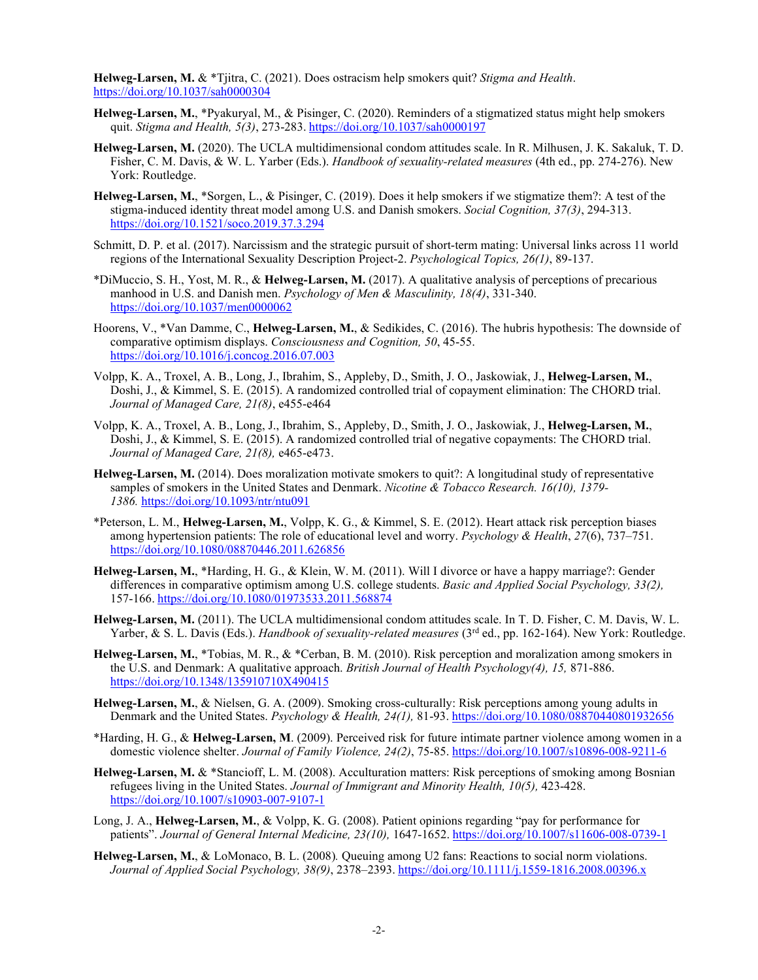**Helweg-Larsen, M.** & \*Tjitra, C. (2021). Does ostracism help smokers quit? *Stigma and Health*. <https://doi.org/10.1037/sah0000304>

- **Helweg-Larsen, M.**, \*Pyakuryal, M., & Pisinger, C. (2020). Reminders of a stigmatized status might help smokers quit. *Stigma and Health, 5(3)*, 273-283. <https://doi.org/10.1037/sah0000197>
- **Helweg-Larsen, M.** (2020). The UCLA multidimensional condom attitudes scale. In R. Milhusen, J. K. Sakaluk, T. D. Fisher, C. M. Davis, & W. L. Yarber (Eds.). *Handbook of sexuality-related measures* (4th ed., pp. 274-276). New York: Routledge.
- **Helweg-Larsen, M.**, \*Sorgen, L., & Pisinger, C. (2019). Does it help smokers if we stigmatize them?: A test of the stigma-induced identity threat model among U.S. and Danish smokers. *Social Cognition, 37(3)*, 294-313. <https://doi.org/10.1521/soco.2019.37.3.294>
- Schmitt, D. P. et al. (2017). Narcissism and the strategic pursuit of short-term mating: Universal links across 11 world regions of the International Sexuality Description Project-2. *Psychological Topics, 26(1)*, 89-137.
- \*DiMuccio, S. H., Yost, M. R., & **Helweg-Larsen, M.** (2017). A qualitative analysis of perceptions of precarious manhood in U.S. and Danish men. *Psychology of Men & Masculinity, 18(4)*, 331-340. <https://doi.org/10.1037/men0000062>
- Hoorens, V., \*Van Damme, C., **Helweg-Larsen, M.**, & Sedikides, C. (2016). The hubris hypothesis: The downside of comparative optimism displays. *Consciousness and Cognition, 50*, 45-55. <https://doi.org/10.1016/j.concog.2016.07.003>
- Volpp, K. A., Troxel, A. B., Long, J., Ibrahim, S., Appleby, D., Smith, J. O., Jaskowiak, J., **Helweg-Larsen, M.**, Doshi, J., & Kimmel, S. E. (2015). A randomized controlled trial of copayment elimination: The CHORD trial. *Journal of Managed Care, 21(8)*, e455-e464
- Volpp, K. A., Troxel, A. B., Long, J., Ibrahim, S., Appleby, D., Smith, J. O., Jaskowiak, J., **Helweg-Larsen, M.**, Doshi, J., & Kimmel, S. E. (2015). A randomized controlled trial of negative copayments: The CHORD trial. *Journal of Managed Care, 21(8),* e465-e473.
- **Helweg-Larsen, M.** (2014). Does moralization motivate smokers to quit?: A longitudinal study of representative samples of smokers in the United States and Denmark. *Nicotine & Tobacco Research. 16(10), 1379- 1386.* <https://doi.org/10.1093/ntr/ntu091>
- \*Peterson, L. M., **Helweg-Larsen, M.**, Volpp, K. G., & Kimmel, S. E. (2012). Heart attack risk perception biases among hypertension patients: The role of educational level and worry. *Psychology & Health*, *27*(6), 737–751. <https://doi.org/10.1080/08870446.2011.626856>
- **Helweg-Larsen, M.**, \*Harding, H. G., & Klein, W. M. (2011). Will I divorce or have a happy marriage?: Gender differences in comparative optimism among U.S. college students. *Basic and Applied Social Psychology, 33(2),*  157-166. <https://doi.org/10.1080/01973533.2011.568874>
- **Helweg-Larsen, M.** (2011). The UCLA multidimensional condom attitudes scale. In T. D. Fisher, C. M. Davis, W. L. Yarber, & S. L. Davis (Eds.). *Handbook of sexuality-related measures* (3<sup>rd</sup> ed., pp. 162-164). New York: Routledge.
- **Helweg-Larsen, M.**, \*Tobias, M. R., & \*Cerban, B. M. (2010). Risk perception and moralization among smokers in the U.S. and Denmark: A qualitative approach. *British Journal of Health Psychology(4), 15,* 871-886. <https://doi.org/10.1348/135910710X490415>
- **Helweg-Larsen, M.**, & Nielsen, G. A. (2009). Smoking cross-culturally: Risk perceptions among young adults in Denmark and the United States. *Psychology & Health, 24(1),* 81-93. <https://doi.org/10.1080/08870440801932656>
- \*Harding, H. G., & **Helweg-Larsen, M**. (2009). Perceived risk for future intimate partner violence among women in a domestic violence shelter. *Journal of Family Violence, 24(2)*, 75-85. <https://doi.org/10.1007/s10896-008-9211-6>
- **Helweg-Larsen, M.** & \*Stancioff, L. M. (2008). Acculturation matters: Risk perceptions of smoking among Bosnian refugees living in the United States. *Journal of Immigrant and Minority Health, 10(5),* 423-428. <https://doi.org/10.1007/s10903-007-9107-1>
- Long, J. A., **Helweg-Larsen, M.**, & Volpp, K. G. (2008). Patient opinions regarding "pay for performance for patients". *Journal of General Internal Medicine, 23(10),* 1647-1652. <https://doi.org/10.1007/s11606-008-0739-1>
- **Helweg-Larsen, M.**, & LoMonaco, B. L. (2008)*.* Queuing among U2 fans: Reactions to social norm violations. *Journal of Applied Social Psychology, 38(9)*, 2378–2393. <https://doi.org/10.1111/j.1559-1816.2008.00396.x>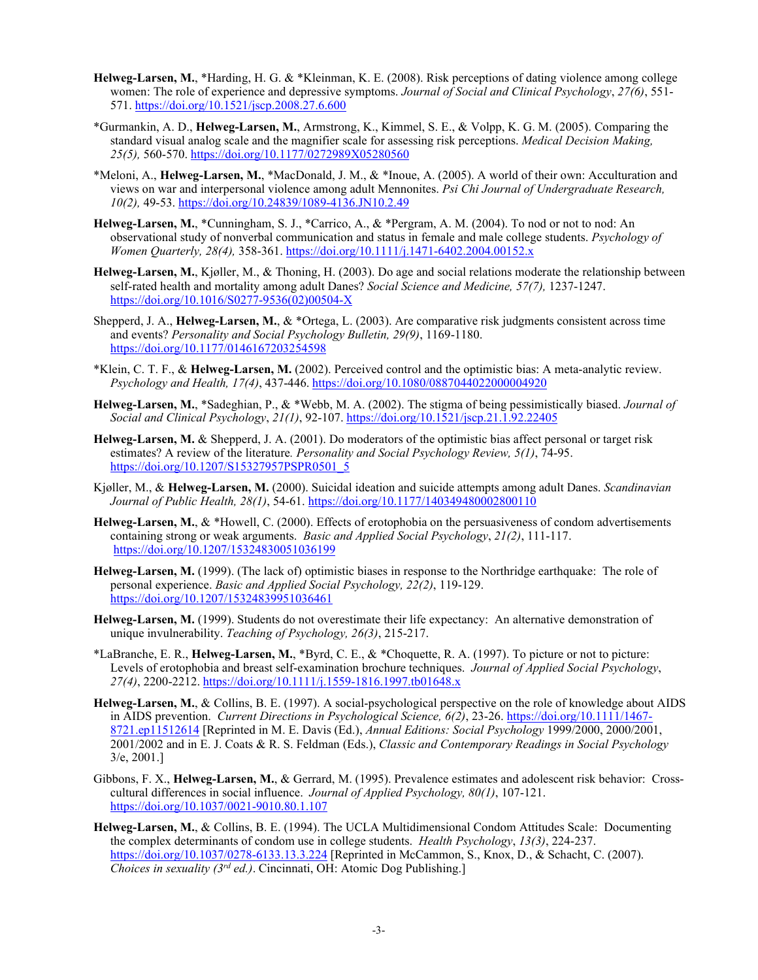- **Helweg-Larsen, M.**, \*Harding, H. G. & \*Kleinman, K. E. (2008). Risk perceptions of dating violence among college women: The role of experience and depressive symptoms. *Journal of Social and Clinical Psychology*, *27(6)*, 551- 571. <https://doi.org/10.1521/jscp.2008.27.6.600>
- \*Gurmankin, A. D., **Helweg-Larsen, M.**, Armstrong, K., Kimmel, S. E., & Volpp, K. G. M. (2005). Comparing the standard visual analog scale and the magnifier scale for assessing risk perceptions. *Medical Decision Making, 25(5),* 560-570. <https://doi.org/10.1177/0272989X05280560>
- \*Meloni, A., **Helweg-Larsen, M.**, \*MacDonald, J. M., & \*Inoue, A. (2005). A world of their own: Acculturation and views on war and interpersonal violence among adult Mennonites. *Psi Chi Journal of Undergraduate Research, 10(2),* 49-53. <https://doi.org/10.24839/1089-4136.JN10.2.49>
- **Helweg-Larsen, M.**, \*Cunningham, S. J., \*Carrico, A., & \*Pergram, A. M. (2004). To nod or not to nod: An observational study of nonverbal communication and status in female and male college students. *Psychology of Women Quarterly, 28(4),* 358-361. <https://doi.org/10.1111/j.1471-6402.2004.00152.x>
- **Helweg-Larsen, M.**, Kjøller, M., & Thoning, H. (2003). Do age and social relations moderate the relationship between self-rated health and mortality among adult Danes? *Social Science and Medicine, 57(7),* 1237-1247. [https://doi.org/10.1016/S0277-9536\(02\)00504-X](https://doi.org/10.1016/S0277-9536(02)00504-X)
- Shepperd, J. A., **Helweg-Larsen, M.**, & \*Ortega, L. (2003). Are comparative risk judgments consistent across time and events? *Personality and Social Psychology Bulletin, 29(9)*, 1169-1180. <https://doi.org/10.1177/0146167203254598>
- \*Klein, C. T. F., & **Helweg-Larsen, M.** (2002). Perceived control and the optimistic bias: A meta-analytic review. *Psychology and Health, 17(4)*, 437-446. <https://doi.org/10.1080/0887044022000004920>
- **Helweg-Larsen, M.**, \*Sadeghian, P., & \*Webb, M. A. (2002). The stigma of being pessimistically biased. *Journal of Social and Clinical Psychology*, *21(1)*, 92-107.<https://doi.org/10.1521/jscp.21.1.92.22405>
- **Helweg-Larsen, M.** & Shepperd, J. A. (2001). Do moderators of the optimistic bias affect personal or target risk estimates? A review of the literature*. Personality and Social Psychology Review, 5(1)*, 74-95. [https://doi.org/10.1207/S15327957PSPR0501\\_5](https://doi.org/10.1207/S15327957PSPR0501_5)
- Kjøller, M., & **Helweg-Larsen, M.** (2000). Suicidal ideation and suicide attempts among adult Danes. *Scandinavian Journal of Public Health, 28(1)*, 54-61.<https://doi.org/10.1177/140349480002800110>
- **Helweg-Larsen, M.**, & \*Howell, C. (2000). Effects of erotophobia on the persuasiveness of condom advertisements containing strong or weak arguments. *Basic and Applied Social Psychology*, *21(2)*, 111-117. <https://doi.org/10.1207/15324830051036199>
- **Helweg-Larsen, M.** (1999). (The lack of) optimistic biases in response to the Northridge earthquake: The role of personal experience. *Basic and Applied Social Psychology, 22(2)*, 119-129. <https://doi.org/10.1207/15324839951036461>
- **Helweg-Larsen, M.** (1999). Students do not overestimate their life expectancy: An alternative demonstration of unique invulnerability. *Teaching of Psychology, 26(3)*, 215-217.
- \*LaBranche, E. R., **Helweg-Larsen, M.**, \*Byrd, C. E., & \*Choquette, R. A. (1997). To picture or not to picture: Levels of erotophobia and breast self-examination brochure techniques. *Journal of Applied Social Psychology*, *27(4)*, 2200-2212. <https://doi.org/10.1111/j.1559-1816.1997.tb01648.x>
- **Helweg-Larsen, M.**, & Collins, B. E. (1997). A social-psychological perspective on the role of knowledge about AIDS in AIDS prevention. *Current Directions in Psychological Science, 6(2)*, 23-26[. https://doi.org/10.1111/1467-](https://doi.org/10.1111/1467-8721.ep11512614) [8721.ep11512614](https://doi.org/10.1111/1467-8721.ep11512614) [Reprinted in M. E. Davis (Ed.), *Annual Editions: Social Psychology* 1999/2000, 2000/2001, 2001/2002 and in E. J. Coats & R. S. Feldman (Eds.), *Classic and Contemporary Readings in Social Psychology* 3/e, 2001.]
- Gibbons, F. X., **Helweg-Larsen, M.**, & Gerrard, M. (1995). Prevalence estimates and adolescent risk behavior: Crosscultural differences in social influence. *Journal of Applied Psychology, 80(1)*, 107-121. <https://doi.org/10.1037/0021-9010.80.1.107>
- **Helweg-Larsen, M.**, & Collins, B. E. (1994). The UCLA Multidimensional Condom Attitudes Scale: Documenting the complex determinants of condom use in college students. *Health Psychology*, *13(3)*, 224-237. <https://doi.org/10.1037/0278-6133.13.3.224> [Reprinted in McCammon, S., Knox, D., & Schacht, C. (2007). *Choices in sexuality (3rd ed.)*. Cincinnati, OH: Atomic Dog Publishing.]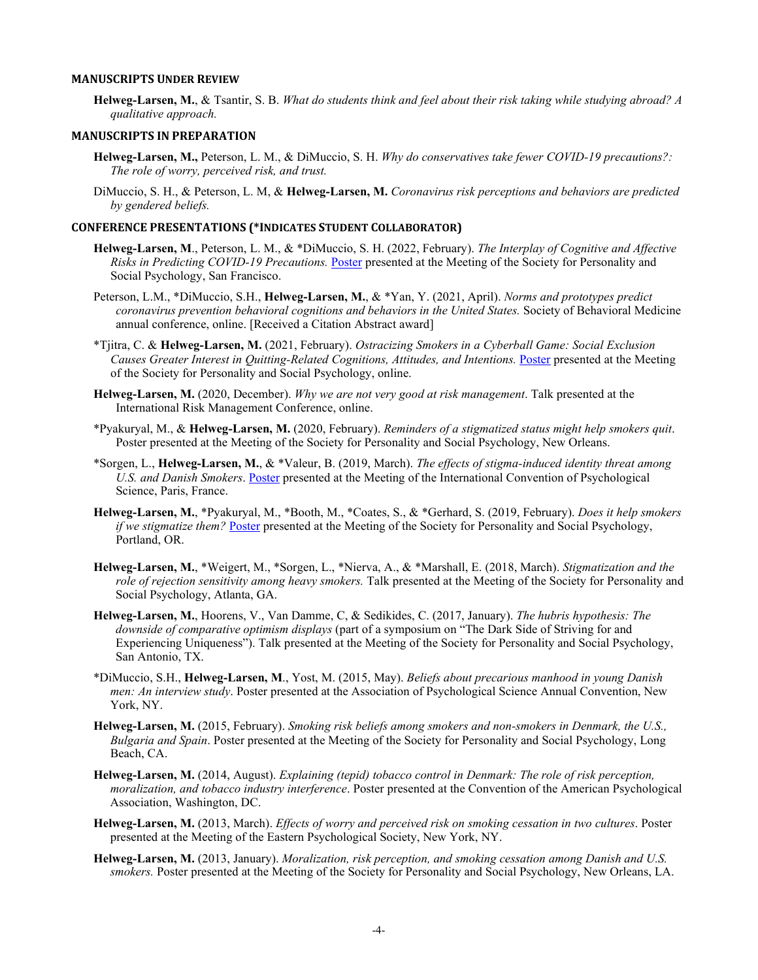#### **MANUSCRIPTS UNDER REVIEW**

**Helweg-Larsen, M.**, & Tsantir, S. B. *What do students think and feel about their risk taking while studying abroad? A qualitative approach.*

#### **MANUSCRIPTS IN PREPARATION**

- **Helweg-Larsen, M.,** Peterson, L. M., & DiMuccio, S. H. *Why do conservatives take fewer COVID-19 precautions?: The role of worry, perceived risk, and trust.*
- DiMuccio, S. H., & Peterson, L. M, & **Helweg-Larsen, M.** *Coronavirus risk perceptions and behaviors are predicted by gendered beliefs.*

#### **CONFERENCE PRESENTATIONS (\*INDICATES STUDENT COLLABORATOR)**

- **Helweg-Larsen, M**., Peterson, L. M., & \*DiMuccio, S. H. (2022, February). *The Interplay of Cognitive and Affective Risks in Predicting COVID-19 Precautions.* [Poster](https://vimeo.com/672112953/680c3c4d1c?fbclid=IwAR2lskYejV_kUO7P7xVIVKtqKdMQiUP5AHfMV6UM43iGQ8VC-JYRTh6m0LU) presented at the Meeting of the Society for Personality and Social Psychology, San Francisco.
- Peterson, L.M., \*DiMuccio, S.H., **Helweg-Larsen, M.**, & \*Yan, Y. (2021, April). *Norms and prototypes predict coronavirus prevention behavioral cognitions and behaviors in the United States.* Society of Behavioral Medicine annual conference, online. [Received a Citation Abstract award]
- \*Tjitra, C. & **Helweg-Larsen, M.** (2021, February). *Ostracizing Smokers in a Cyberball Game: Social Exclusion Causes Greater Interest in Quitting-Related Cognitions, Attitudes, and Intentions.* [Poster](https://osf.io/kqts9/) presented at the Meeting of the Society for Personality and Social Psychology, online.
- **Helweg-Larsen, M.** (2020, December). *Why we are not very good at risk management*. Talk presented at the International Risk Management Conference, online.
- \*Pyakuryal, M., & **Helweg-Larsen, M.** (2020, February). *Reminders of a stigmatized status might help smokers quit*. Poster presented at the Meeting of the Society for Personality and Social Psychology, New Orleans.
- \*Sorgen, L., **Helweg-Larsen, M.**, & \*Valeur, B. (2019, March). *The effects of stigma-induced identity threat among U.S. and Danish Smokers*. [Poster](https://osf.io/3ca6m/) presented at the Meeting of the International Convention of Psychological Science, Paris, France.
- **Helweg-Larsen, M.**, \*Pyakuryal, M., \*Booth, M., \*Coates, S., & \*Gerhard, S. (2019, February). *Does it help smokers if we stigmatize them?* [Poster](https://osf.io/6ueh8/) presented at the Meeting of the Society for Personality and Social Psychology, Portland, OR.
- **Helweg-Larsen, M.**, \*Weigert, M., \*Sorgen, L., \*Nierva, A., & \*Marshall, E. (2018, March). *Stigmatization and the role of rejection sensitivity among heavy smokers.* Talk presented at the Meeting of the Society for Personality and Social Psychology, Atlanta, GA.
- **Helweg-Larsen, M.**, Hoorens, V., Van Damme, C, & Sedikides, C. (2017, January). *The hubris hypothesis: The downside of comparative optimism displays* (part of a symposium on "The Dark Side of Striving for and Experiencing Uniqueness"). Talk presented at the Meeting of the Society for Personality and Social Psychology, San Antonio, TX.
- \*DiMuccio, S.H., **Helweg-Larsen, M**., Yost, M. (2015, May). *Beliefs about precarious manhood in young Danish men: An interview study*. Poster presented at the Association of Psychological Science Annual Convention, New York, NY.
- **Helweg-Larsen, M.** (2015, February). *Smoking risk beliefs among smokers and non-smokers in Denmark, the U.S., Bulgaria and Spain*. Poster presented at the Meeting of the Society for Personality and Social Psychology, Long Beach, CA.
- **Helweg-Larsen, M.** (2014, August). *Explaining (tepid) tobacco control in Denmark: The role of risk perception, moralization, and tobacco industry interference*. Poster presented at the Convention of the American Psychological Association, Washington, DC.
- **Helweg-Larsen, M.** (2013, March). *Effects of worry and perceived risk on smoking cessation in two cultures*. Poster presented at the Meeting of the Eastern Psychological Society, New York, NY.
- **Helweg-Larsen, M.** (2013, January). *Moralization, risk perception, and smoking cessation among Danish and U.S. smokers.* Poster presented at the Meeting of the Society for Personality and Social Psychology, New Orleans, LA.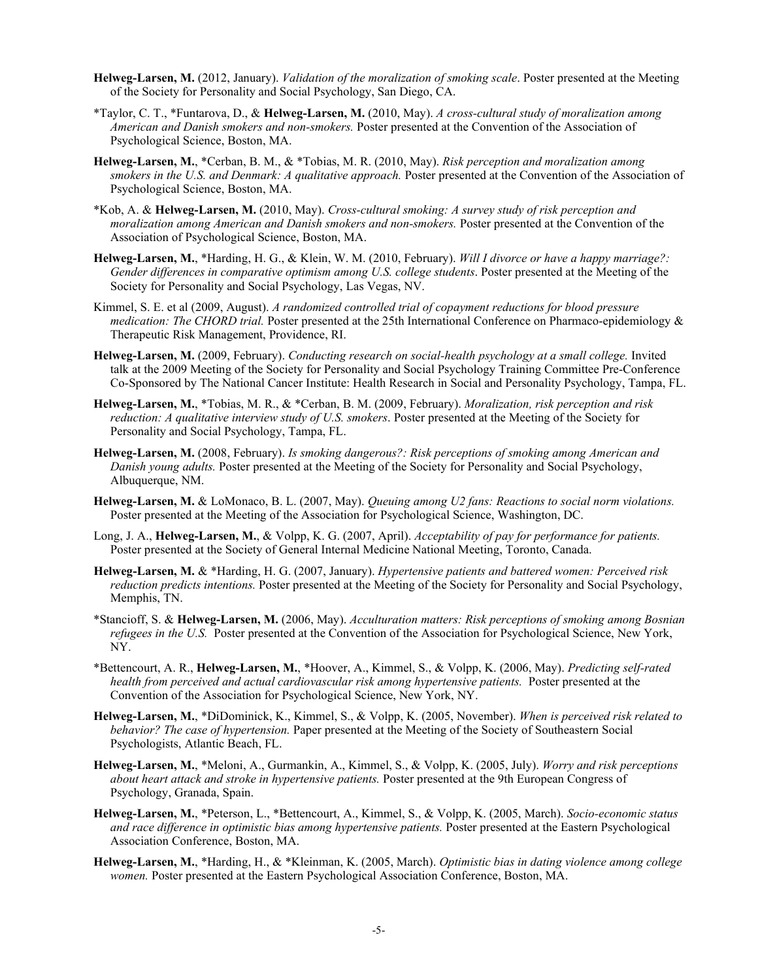- **Helweg-Larsen, M.** (2012, January). *Validation of the moralization of smoking scale*. Poster presented at the Meeting of the Society for Personality and Social Psychology, San Diego, CA.
- \*Taylor, C. T., \*Funtarova, D., & **Helweg-Larsen, M.** (2010, May). *A cross-cultural study of moralization among American and Danish smokers and non-smokers.* Poster presented at the Convention of the Association of Psychological Science, Boston, MA.
- **Helweg-Larsen, M.**, \*Cerban, B. M., & \*Tobias, M. R. (2010, May). *Risk perception and moralization among smokers in the U.S. and Denmark: A qualitative approach.* Poster presented at the Convention of the Association of Psychological Science, Boston, MA.
- \*Kob, A. & **Helweg-Larsen, M.** (2010, May). *Cross-cultural smoking: A survey study of risk perception and moralization among American and Danish smokers and non-smokers.* Poster presented at the Convention of the Association of Psychological Science, Boston, MA.
- **Helweg-Larsen, M.**, \*Harding, H. G., & Klein, W. M. (2010, February). *Will I divorce or have a happy marriage?: Gender differences in comparative optimism among U.S. college students*. Poster presented at the Meeting of the Society for Personality and Social Psychology, Las Vegas, NV.
- Kimmel, S. E. et al (2009, August). *A randomized controlled trial of copayment reductions for blood pressure medication: The CHORD trial.* Poster presented at the 25th International Conference on Pharmaco-epidemiology & Therapeutic Risk Management, Providence, RI.
- **Helweg-Larsen, M.** (2009, February). *Conducting research on social-health psychology at a small college.* Invited talk at the 2009 Meeting of the Society for Personality and Social Psychology Training Committee Pre-Conference Co-Sponsored by The National Cancer Institute: Health Research in Social and Personality Psychology, Tampa, FL.
- **Helweg-Larsen, M.**, \*Tobias, M. R., & \*Cerban, B. M. (2009, February). *Moralization, risk perception and risk reduction: A qualitative interview study of U.S. smokers*. Poster presented at the Meeting of the Society for Personality and Social Psychology, Tampa, FL.
- **Helweg-Larsen, M.** (2008, February). *Is smoking dangerous?: Risk perceptions of smoking among American and Danish young adults.* Poster presented at the Meeting of the Society for Personality and Social Psychology, Albuquerque, NM.
- **Helweg-Larsen, M.** & LoMonaco, B. L. (2007, May). *Queuing among U2 fans: Reactions to social norm violations.*  Poster presented at the Meeting of the Association for Psychological Science, Washington, DC.
- Long, J. A., **Helweg-Larsen, M.**, & Volpp, K. G. (2007, April). *Acceptability of pay for performance for patients.*  Poster presented at the Society of General Internal Medicine National Meeting, Toronto, Canada.
- **Helweg-Larsen, M.** & \*Harding, H. G. (2007, January). *Hypertensive patients and battered women: Perceived risk reduction predicts intentions.* Poster presented at the Meeting of the Society for Personality and Social Psychology, Memphis, TN.
- \*Stancioff, S. & **Helweg-Larsen, M.** (2006, May). *Acculturation matters: Risk perceptions of smoking among Bosnian refugees in the U.S.* Poster presented at the Convention of the Association for Psychological Science, New York, NY.
- \*Bettencourt, A. R., **Helweg-Larsen, M.**, \*Hoover, A., Kimmel, S., & Volpp, K. (2006, May). *Predicting self-rated health from perceived and actual cardiovascular risk among hypertensive patients.* Poster presented at the Convention of the Association for Psychological Science, New York, NY.
- **Helweg-Larsen, M.**, \*DiDominick, K., Kimmel, S., & Volpp, K. (2005, November). *When is perceived risk related to behavior? The case of hypertension.* Paper presented at the Meeting of the Society of Southeastern Social Psychologists, Atlantic Beach, FL.
- **Helweg-Larsen, M.**, \*Meloni, A., Gurmankin, A., Kimmel, S., & Volpp, K. (2005, July). *Worry and risk perceptions about heart attack and stroke in hypertensive patients.* Poster presented at the 9th European Congress of Psychology, Granada, Spain.
- **Helweg-Larsen, M.**, \*Peterson, L., \*Bettencourt, A., Kimmel, S., & Volpp, K. (2005, March). *Socio-economic status and race difference in optimistic bias among hypertensive patients.* Poster presented at the Eastern Psychological Association Conference, Boston, MA.
- **Helweg-Larsen, M.**, \*Harding, H., & \*Kleinman, K. (2005, March). *Optimistic bias in dating violence among college women.* Poster presented at the Eastern Psychological Association Conference, Boston, MA.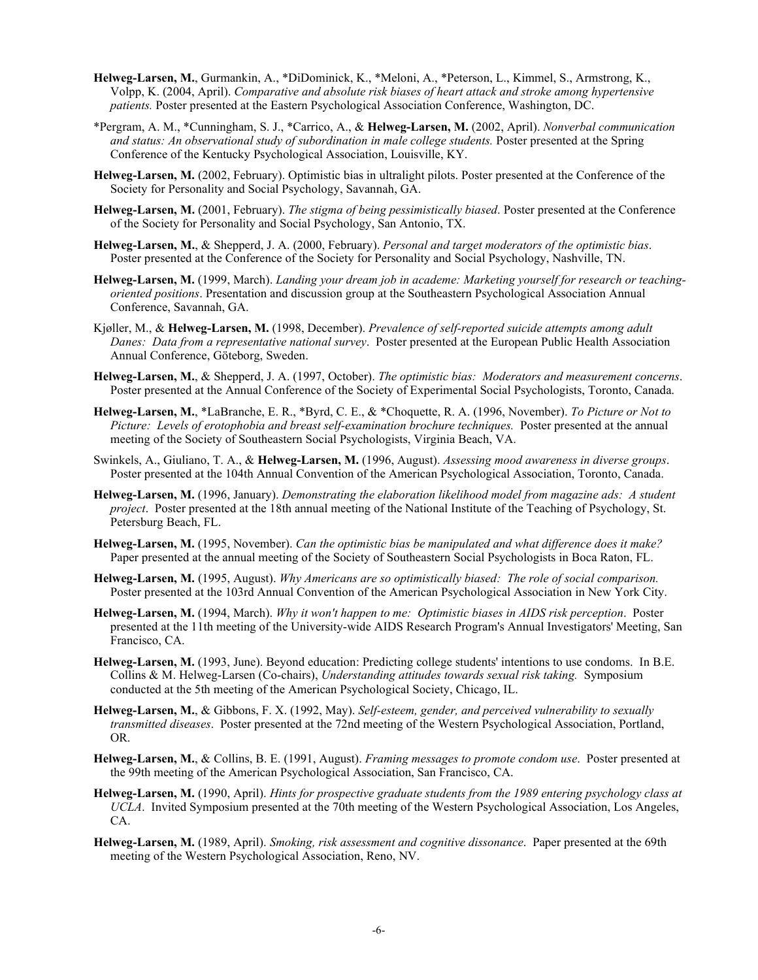- **Helweg-Larsen, M.**, Gurmankin, A., \*DiDominick, K., \*Meloni, A., \*Peterson, L., Kimmel, S., Armstrong, K., Volpp, K. (2004, April). *Comparative and absolute risk biases of heart attack and stroke among hypertensive patients.* Poster presented at the Eastern Psychological Association Conference, Washington, DC.
- \*Pergram, A. M., \*Cunningham, S. J., \*Carrico, A., & **Helweg-Larsen, M.** (2002, April). *Nonverbal communication and status: An observational study of subordination in male college students.* Poster presented at the Spring Conference of the Kentucky Psychological Association, Louisville, KY.
- **Helweg-Larsen, M.** (2002, February). Optimistic bias in ultralight pilots. Poster presented at the Conference of the Society for Personality and Social Psychology, Savannah, GA.
- **Helweg-Larsen, M.** (2001, February). *The stigma of being pessimistically biased*. Poster presented at the Conference of the Society for Personality and Social Psychology, San Antonio, TX.
- **Helweg-Larsen, M.**, & Shepperd, J. A. (2000, February). *Personal and target moderators of the optimistic bias*. Poster presented at the Conference of the Society for Personality and Social Psychology, Nashville, TN.
- **Helweg-Larsen, M.** (1999, March). *Landing your dream job in academe: Marketing yourself for research or teachingoriented positions*. Presentation and discussion group at the Southeastern Psychological Association Annual Conference, Savannah, GA.
- Kjøller, M., & **Helweg-Larsen, M.** (1998, December). *Prevalence of self-reported suicide attempts among adult Danes: Data from a representative national survey*. Poster presented at the European Public Health Association Annual Conference, Göteborg, Sweden.
- **Helweg-Larsen, M.**, & Shepperd, J. A. (1997, October). *The optimistic bias: Moderators and measurement concerns*. Poster presented at the Annual Conference of the Society of Experimental Social Psychologists, Toronto, Canada.
- **Helweg-Larsen, M.**, \*LaBranche, E. R., \*Byrd, C. E., & \*Choquette, R. A. (1996, November). *To Picture or Not to Picture: Levels of erotophobia and breast self-examination brochure techniques.* Poster presented at the annual meeting of the Society of Southeastern Social Psychologists, Virginia Beach, VA.
- Swinkels, A., Giuliano, T. A., & **Helweg-Larsen, M.** (1996, August). *Assessing mood awareness in diverse groups*. Poster presented at the 104th Annual Convention of the American Psychological Association, Toronto, Canada.
- **Helweg-Larsen, M.** (1996, January). *Demonstrating the elaboration likelihood model from magazine ads: A student project*. Poster presented at the 18th annual meeting of the National Institute of the Teaching of Psychology, St. Petersburg Beach, FL.
- **Helweg-Larsen, M.** (1995, November). *Can the optimistic bias be manipulated and what difference does it make?*  Paper presented at the annual meeting of the Society of Southeastern Social Psychologists in Boca Raton, FL.
- **Helweg-Larsen, M.** (1995, August). *Why Americans are so optimistically biased: The role of social comparison.* Poster presented at the 103rd Annual Convention of the American Psychological Association in New York City.
- **Helweg-Larsen, M.** (1994, March). *Why it won't happen to me: Optimistic biases in AIDS risk perception*. Poster presented at the 11th meeting of the University-wide AIDS Research Program's Annual Investigators' Meeting, San Francisco, CA.
- **Helweg-Larsen, M.** (1993, June). Beyond education: Predicting college students' intentions to use condoms. In B.E. Collins & M. Helweg-Larsen (Co-chairs), *Understanding attitudes towards sexual risk taking.* Symposium conducted at the 5th meeting of the American Psychological Society, Chicago, IL.
- **Helweg-Larsen, M.**, & Gibbons, F. X. (1992, May). *Self-esteem, gender, and perceived vulnerability to sexually transmitted diseases*. Poster presented at the 72nd meeting of the Western Psychological Association, Portland, OR.
- **Helweg-Larsen, M.**, & Collins, B. E. (1991, August). *Framing messages to promote condom use*. Poster presented at the 99th meeting of the American Psychological Association, San Francisco, CA.
- **Helweg-Larsen, M.** (1990, April). *Hints for prospective graduate students from the 1989 entering psychology class at UCLA*. Invited Symposium presented at the 70th meeting of the Western Psychological Association, Los Angeles, CA.
- **Helweg-Larsen, M.** (1989, April). *Smoking, risk assessment and cognitive dissonance*. Paper presented at the 69th meeting of the Western Psychological Association, Reno, NV.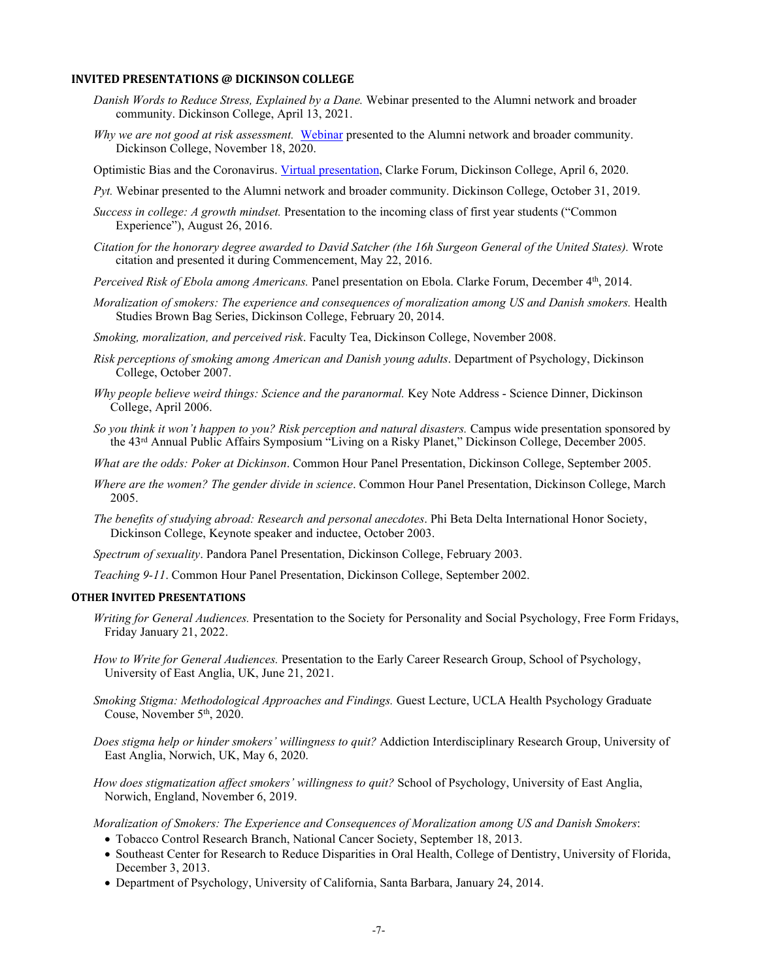#### **INVITED PRESENTATIONS @ DICKINSON COLLEGE**

- *Danish Words to Reduce Stress, Explained by a Dane.* Webinar presented to the Alumni network and broader community. Dickinson College, April 13, 2021.
- *Why we are not good at risk assessment.* [Webinar](https://www.youtube.com/watch?v=kmwmyhiqqpg&ab_channel=DickinsonAlumni) presented to the Alumni network and broader community. Dickinson College, November 18, 2020.
- Optimistic Bias and the Coronavirus. Virtual [presentation,](https://www.youtube.com/watch?v=pPIC_ckABNI&app=desktop&ab_channel=ClarkeForumforContemporaryIssues) Clarke Forum, Dickinson College, April 6, 2020.
- *Pyt.* Webinar presented to the Alumni network and broader community. Dickinson College, October 31, 2019.
- *Success in college: A growth mindset.* Presentation to the incoming class of first year students ("Common Experience"), August 26, 2016.
- *Citation for the honorary degree awarded to David Satcher (the 16h Surgeon General of the United States).* Wrote citation and presented it during Commencement, May 22, 2016.
- *Perceived Risk of Ebola among Americans.* Panel presentation on Ebola. Clarke Forum, December 4th, 2014.
- *Moralization of smokers: The experience and consequences of moralization among US and Danish smokers.* Health Studies Brown Bag Series, Dickinson College, February 20, 2014.
- *Smoking, moralization, and perceived risk*. Faculty Tea, Dickinson College, November 2008.
- *Risk perceptions of smoking among American and Danish young adults*. Department of Psychology, Dickinson College, October 2007.
- *Why people believe weird things: Science and the paranormal.* Key Note Address Science Dinner, Dickinson College, April 2006.
- *So you think it won't happen to you? Risk perception and natural disasters.* Campus wide presentation sponsored by the 43rd Annual Public Affairs Symposium "Living on a Risky Planet," Dickinson College, December 2005.
- *What are the odds: Poker at Dickinson*. Common Hour Panel Presentation, Dickinson College, September 2005.
- *Where are the women? The gender divide in science*. Common Hour Panel Presentation, Dickinson College, March 2005.
- *The benefits of studying abroad: Research and personal anecdotes*. Phi Beta Delta International Honor Society, Dickinson College, Keynote speaker and inductee, October 2003.

*Spectrum of sexuality*. Pandora Panel Presentation, Dickinson College, February 2003.

*Teaching 9-11*. Common Hour Panel Presentation, Dickinson College, September 2002.

#### **OTHER INVITED PRESENTATIONS**

- *Writing for General Audiences.* Presentation to the Society for Personality and Social Psychology, Free Form Fridays, Friday January 21, 2022.
- *How to Write for General Audiences.* Presentation to the Early Career Research Group, School of Psychology, University of East Anglia, UK, June 21, 2021.
- *Smoking Stigma: Methodological Approaches and Findings.* Guest Lecture, UCLA Health Psychology Graduate Couse, November 5<sup>th</sup>, 2020.
- *Does stigma help or hinder smokers' willingness to quit?* Addiction Interdisciplinary Research Group, University of East Anglia, Norwich, UK, May 6, 2020.
- *How does stigmatization affect smokers' willingness to quit?* School of Psychology, University of East Anglia, Norwich, England, November 6, 2019.

*Moralization of Smokers: The Experience and Consequences of Moralization among US and Danish Smokers*:

- Tobacco Control Research Branch, National Cancer Society, September 18, 2013.
- Southeast Center for Research to Reduce Disparities in Oral Health, College of Dentistry, University of Florida, December 3, 2013.
- Department of Psychology, University of California, Santa Barbara, January 24, 2014.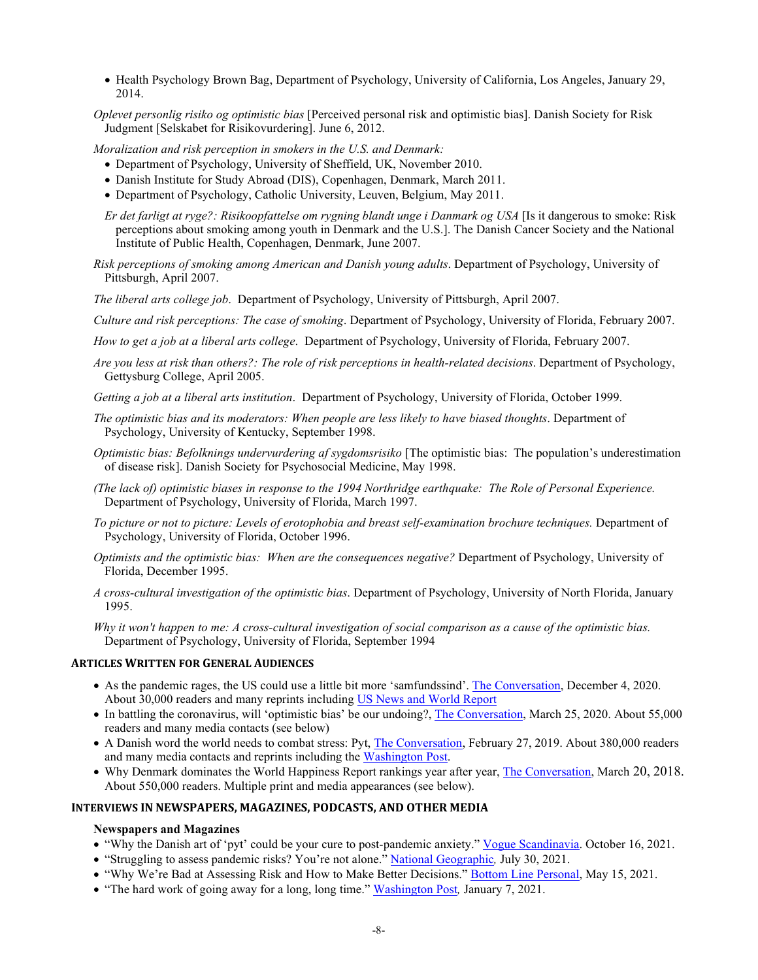- Health Psychology Brown Bag, Department of Psychology, University of California, Los Angeles, January 29, 2014.
- *Oplevet personlig risiko og optimistic bias* [Perceived personal risk and optimistic bias]. Danish Society for Risk Judgment [Selskabet for Risikovurdering]. June 6, 2012.

*Moralization and risk perception in smokers in the U.S. and Denmark:*

- Department of Psychology, University of Sheffield, UK, November 2010.
- Danish Institute for Study Abroad (DIS), Copenhagen, Denmark, March 2011.
- Department of Psychology, Catholic University, Leuven, Belgium, May 2011.

*Er det farligt at ryge?: Risikoopfattelse om rygning blandt unge i Danmark og USA* [Is it dangerous to smoke: Risk perceptions about smoking among youth in Denmark and the U.S.]. The Danish Cancer Society and the National Institute of Public Health, Copenhagen, Denmark, June 2007.

- *Risk perceptions of smoking among American and Danish young adults*. Department of Psychology, University of Pittsburgh, April 2007.
- *The liberal arts college job*. Department of Psychology, University of Pittsburgh, April 2007.
- *Culture and risk perceptions: The case of smoking*. Department of Psychology, University of Florida, February 2007.
- *How to get a job at a liberal arts college*. Department of Psychology, University of Florida, February 2007.
- *Are you less at risk than others?: The role of risk perceptions in health-related decisions*. Department of Psychology, Gettysburg College, April 2005.
- *Getting a job at a liberal arts institution*. Department of Psychology, University of Florida, October 1999.
- *The optimistic bias and its moderators: When people are less likely to have biased thoughts*. Department of Psychology, University of Kentucky, September 1998.
- *Optimistic bias: Befolknings undervurdering af sygdomsrisiko* [The optimistic bias: The population's underestimation of disease risk]. Danish Society for Psychosocial Medicine, May 1998.
- *(The lack of) optimistic biases in response to the 1994 Northridge earthquake: The Role of Personal Experience.* Department of Psychology, University of Florida, March 1997.
- *To picture or not to picture: Levels of erotophobia and breast self-examination brochure techniques.* Department of Psychology, University of Florida, October 1996.
- *Optimists and the optimistic bias: When are the consequences negative?* Department of Psychology, University of Florida, December 1995.
- *A cross-cultural investigation of the optimistic bias*. Department of Psychology, University of North Florida, January 1995.
- *Why it won't happen to me: A cross-cultural investigation of social comparison as a cause of the optimistic bias.* Department of Psychology, University of Florida, September 1994

#### **ARTICLES WRITTEN FOR GENERAL AUDIENCES**

- As the pandemic rages, the US could use a little bit more 'samfundssind'[. The Conversation,](https://theconversation.com/as-the-pandemic-rages-the-us-could-use-a-little-bit-more-samfundssind-150804) December 4, 2020. About 30,000 readers and many reprints including [US News and World](https://www.usnews.com/news/best-countries/articles/2020-12-04/denmark-has-a-word-to-help-deal-with-pandemic-stress) Report
- In battling the coronavirus, will 'optimistic bias' be our undoing?, [The Conversation,](https://theconversation.com/in-battling-the-coronavirus-will-optimistic-bias-be-our-undoing-134476) March 25, 2020. About 55,000 readers and many media contacts (see below)
- A Danish word the world needs to combat stress: Pyt, [The Conversation,](https://theconversation.com/a-danish-word-the-world-needs-to-combat-stress-pyt-112216) February 27, 2019. About 380,000 readers and many media contacts and reprints including th[e Washington Post.](https://www.washingtonpost.com/national/health-science/angry-worried-stressed-out-just-say-pyt/2019/03/01/9e180c1e-3ac7-11e9-a06c-3ec8ed509d15_story.html)
- Why Denmark dominates the World Happiness Report rankings year after year, [The Conversation,](https://theconversation.com/why-denmark-dominates-the-world-happiness-report-rankings-year-after-year-93542) March 20, 2018. About 550,000 readers. Multiple print and media appearances (see below).

## **INTERVIEWS IN NEWSPAPERS, MAGAZINES, PODCASTS, AND OTHER MEDIA**

#### **Newspapers and Magazines**

- "Why the Danish art of 'pyt' could be your cure to post-pandemic anxiety." [Vogue Scandinavia.](https://blogs.dickinson.edu/helwegm/files/2021/10/Vogue-Scandinavia-Why-the-Danish-art-of-pyt-could-be-your-cure-to-post-pandemic-anxiety.pdf) October 16, 2021.
- "Struggling to assess pandemic risks? You're not alone.[" National Geographic](https://www.nationalgeographic.com/science/article/struggling-to-assess-pandemic-risks-youre-not-alone)*,* July 30, 2021.
- "Why We're Bad at Assessing Risk and How to Make Better Decisions." [Bottom Line Personal,](https://bottomlineinc.com/life/personal-care/why-were-bad-at-assessing-risk) May 15, 2021.
- "The hard work of going away for a long, long time.[" Washington Post](https://www.washingtonpost.com/lifestyle/travel/long-term-travel-remote-work/2021/01/06/72affc40-4b90-11eb-839a-cf4ba7b7c48c_story.html)*,* January 7, 2021.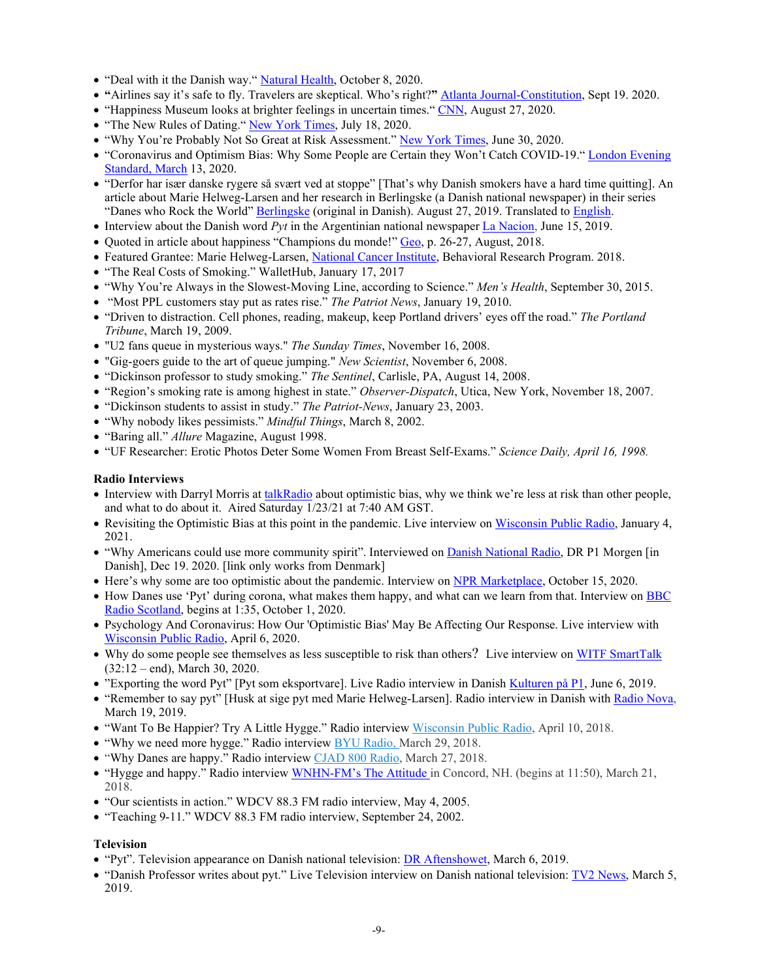- "Deal with it the Danish way." [Natural Health,](https://www.naturalhealthmagazine.co.uk/wellbeing/deal-with-it-the-danish-way) October 8, 2020.
- **"**Airlines say it's safe to fly. Travelers are skeptical. Who's right?**"** [Atlanta Journal-Constitution,](https://www.ajc.com/news/business/airlines-say-its-safe-to-fly-travelers-are-skeptical-whos-right/M54FVDDVIRAFPJJ7DI3OGT3GXE/) Sept 19. 2020.
- "Happiness Museum looks at brighter feelings in uncertain times." [CNN,](http://us.cnn.com/travel/article/happiness-museum-copenhagen-denmark-wellness/index.html) August 27, 2020.
- "The New Rules of Dating." New [York Times,](https://www.nytimes.com/2020/07/18/at-home/coronavirus-pandemic-dating.html) July 18, 2020.
- "Why You're Probably Not So Great at Risk Assessment." [New York Times,](https://www.nytimes.com/2020/06/30/smarter-living/why-youre-probably-not-so-great-at-risk-assessment.html) June 30, 2020.
- "Coronavirus and Optimism Bias: Why Some People are Certain they Won't Catch COVID-19." [London Evening](https://www.standard.co.uk/news/health/coronavirus-optimism-bias-why-people-think-wont-catch-covid-19-a4384421.html)  [Standard, March](https://www.standard.co.uk/news/health/coronavirus-optimism-bias-why-people-think-wont-catch-covid-19-a4384421.html) 13, 2020.
- "Derfor har især danske rygere så svært ved at stoppe" [That's why Danish smokers have a hard time quitting]. An article about Marie Helweg-Larsen and her research in Berlingske (a Danish national newspaper) in their series "Danes who Rock the World" [Berlingske \(](http://blogs.dickinson.edu/helwegm/files/2019/08/2019-08-27_Danes-who-rock-the-World-article_-Berlingske-newspaper-1.pdf)original in Danish). August 27, 2019. Translated to [English.](https://blogs.dickinson.edu/helwegm/files/2022/01/Helweg-Larsen_Danes-Who-Rock-the-World_Berlingske_EnglishTranslation.pdf)
- Interview about the Danish word *Pyt* in the Argentinian national newspaper [La Nacion,](https://www.lanacion.com.ar/lifestyle/pyt-palabra-danesa-mundo-necesita-nid2258098) June 15, 2019.
- Quoted in article about happiness "Champions du monde!" [Geo,](https://blogs.dickinson.edu/helwegm/files/2021/08/Scandinaves-champions-bonheur-GEOHS78-JPr%C3%A9vost.pdf) p. 26-27, August, 2018.
- Featured Grantee: Marie Helweg-Larsen, [National Cancer Institute,](https://staffprofiles.cancer.gov/brp/granteeProfile.do?contactId=33026747&name=Marie-Helweg-Larsen&grpId=52814) Behavioral Research Program. 2018.
- "The Real Costs of Smoking." WalletHub, January 17, 2017
- "Why You're Always in the Slowest-Moving Line, according to Science." *Men's Health*, September 30, 2015.
- "Most PPL customers stay put as rates rise." *The Patriot News*, January 19, 2010.
- "Driven to distraction. Cell phones, reading, makeup, keep Portland drivers' eyes off the road." *The Portland Tribune*, March 19, 2009.
- "U2 fans queue in mysterious ways." *The Sunday Times*, November 16, 2008.
- "Gig-goers guide to the art of queue jumping." *New Scientist*, November 6, 2008.
- "Dickinson professor to study smoking." *The Sentinel*, Carlisle, PA, August 14, 2008.
- "Region's smoking rate is among highest in state." *Observer-Dispatch*, Utica, New York, November 18, 2007.
- "Dickinson students to assist in study." *The Patriot-News*, January 23, 2003.
- "Why nobody likes pessimists." *Mindful Things*, March 8, 2002.
- "Baring all." *Allure* Magazine, August 1998.
- "UF Researcher: Erotic Photos Deter Some Women From Breast Self-Exams." *Science Daily, April 16, 1998.*

## **Radio Interviews**

- Interview with Darryl Morris a[t talkRadio](http://blogs.dickinson.edu/helwegm/files/2021/01/MarieHelwegLarsen.mp3) about optimistic bias, why we think we're less at risk than other people, and what to do about it. Aired Saturday 1/23/21 at 7:40 AM GST.
- Revisiting the Optimistic Bias at this point in the pandemic. Live interview on [Wisconsin Public Radio,](https://www.wpr.org/revisiting-optimism-bias-point-pandemic) January 4, 2021.
- "Why Americans could use more community spirit". Interviewed on [Danish National Radio,](https://www.dr.dk/radio/p1/p1-morgen/p1-morgen-2020-12-19#!00:32:19) DR P1 Morgen [in Danish], Dec 19. 2020. [link only works from Denmark]
- Here's why some are too optimistic about the pandemic. Interview on [NPR Marketplace,](https://www.marketplace.org/2020/10/15/heres-why-some-people-too-optimistic-about-pandemic/) October 15, 2020.
- How Danes use 'Pyt' during corona, what makes them happy, and what can we learn from that. Interview on BBC Radio Scotland, begins at 1:35, October 1, 2020.
- Psychology And Coronavirus: How Our 'Optimistic Bias' May Be Affecting Our Response. Live interview with [Wisconsin Public Radio,](https://www.wpr.org/psychology-and-coronavirus-how-our-optimistic-bias-may-be-affecting-our-response) April 6, 2020.
- Why do some people see themselves as less susceptible to risk than others? Live interview on WITF [SmartTalk](https://www.witf.org/2020/03/30/the-coronavirus-on-smart-talk-monday-learning-at-home-partnerships-upmc-drive-through-testing-sites-and-why-some-dont-feel-at-risk-from-covid-19/) (32:12 – end), March 30, 2020.
- "Exporting the word Pyt" [Pyt som eksportvare]. Live Radio interview in Danish [Kulturen på P1,](https://www.dr.dk/radio/p1/kulturen-pa-p1/kulturen-pa-p1-2019-03-06?fbclid=iwar15t8lq5twhdwivw9lwphpuxy0qim92gzioy0ddck3sx7o8gvuo-zwed_0#!01:43:59) June 6, 2019.
- "Remember to say pyt" [Husk at sige pyt med Marie Helweg-Larsen]. Radio interview in Danish with [Radio Nova,](https://www.mixcloud.com/aftenklubben/husk-at-sige-pyt-med-marie-helweg-larsen/) March 19, 2019.
- "Want To Be Happier? Try A Little Hygge." Radio interview Wisconsin [Public Radio,](https://www.wpr.org/want-be-happier-try-little-hygge) April 10, 2018.
- "Why we need more hygge." Radio interview [BYU Radio, M](http://www.byuradio.org/episode/21621761-da05-4e9b-90be-ca4967e05519?playhead=1060&autoplay=true%E2%80%8B)arch 29, 2018.
- "Why Danes are happy." Radio interview CJAD [800 Radio,](http://www.iheartradio.ca/cjad/site-search-local-7.15195981?searchField=denmark) March 27, 2018.
- "Hygge and happy." Radio interview [WNHN-FM's](https://www.wnhnfm.org/the-attitude-w-arnie-arnesen) The Attitude in Concord, NH. (begins at 11:50), March 21, 2018.
- "Our scientists in action." WDCV 88.3 FM radio interview, May 4, 2005.
- "Teaching 9-11." WDCV 88.3 FM radio interview, September 24, 2002.

# **Television**

- "Pyt". Television appearance on Danish national television: [DR Aftenshowet,](https://www.dr.dk/tv/se/aftenshowet-9/aftenshowet-11/aftenshowet-2019-03-06#!/) March 6, 2019.
- "Danish Professor writes about pyt." Live Television interview on Danish national television: [TV2 News,](https://nyheder.tv2.dk/) March 5, 2019.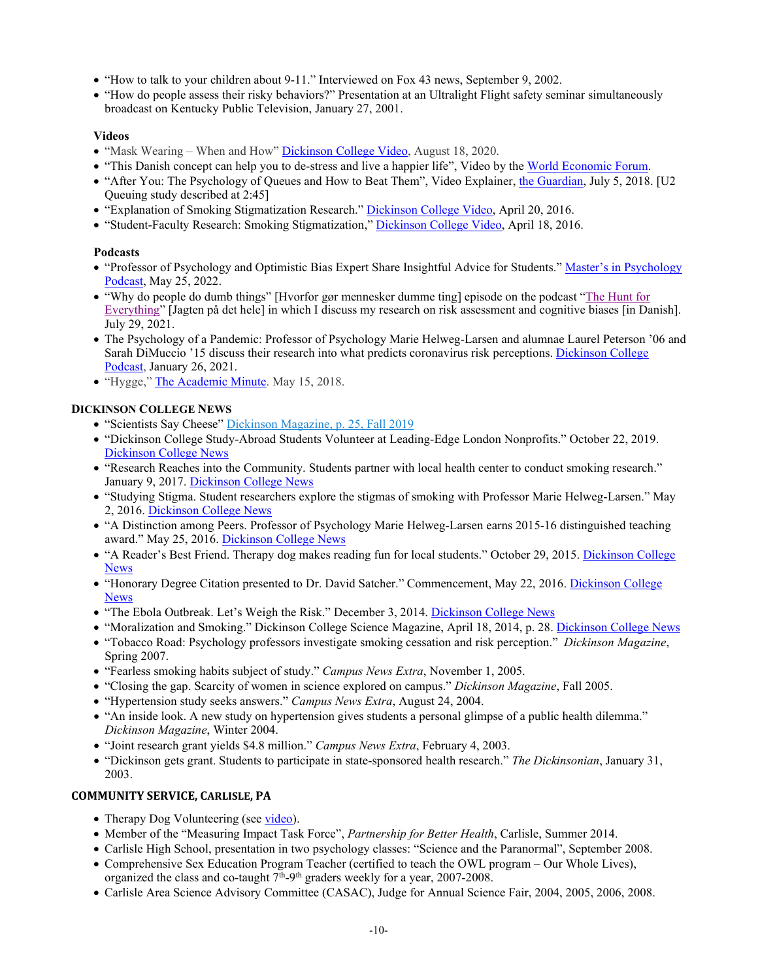- "How to talk to your children about 9-11." Interviewed on Fox 43 news, September 9, 2002.
- "How do people assess their risky behaviors?" Presentation at an Ultralight Flight safety seminar simultaneously broadcast on Kentucky Public Television, January 27, 2001.

# **Videos**

- "Mask Wearing When and How" [Dickinson College Video,](https://www.dickinson.edu/news/article/4362/mask_wearing%E2%80%94when_and_how_to_speak_up) August 18, 2020.
- "This Danish concept can help you to de-stress and live a happier life", Video by the World [Economic Forum.](https://www.facebook.com/watch/?v=2246387685635142)
- "After You: The Psychology of Queues and How to Beat Them", Video Explainer, [the Guardian,](https://www.theguardian.com/science/video/2018/jul/04/after-you-the-psychology-of-queues-and-how-to-beat-them-video-explainer) July 5, 2018. [U2 Queuing study described at 2:45]
- "Explanation of Smoking Stigmatization Research." [Dickinson College](https://www.youtube.com/watch?v=FQEvUJQ6H3c&ab_channel=DickinsonCollege) Video, April 20, 2016.
- "Student-Faculty Research: Smoking Stigmatization,[" Dickinson College Video,](https://www.youtube.com/watch?v=bqahe4EbHCE&ab_channel=DickinsonCollege) April 18, 2016.

# **Podcasts**

- "Professor of Psychology and Optimistic Bias Expert Share Insightful Advice for Students." Master's in Psychology [Podcast,](https://www.mastersinpsychology.com/podcast/marie-helweg-larsen/) May 25, 2022.
- "Why do people do dumb things" [Hvorfor gør mennesker dumme ting] episode on the podcast "The [Hunt for](https://www.spreaker.com/user/13178045/marie-helweg-larsen)  [Everything"](https://www.spreaker.com/user/13178045/marie-helweg-larsen) [Jagten på det hele] in which I discuss my research on risk assessment and cognitive biases [in Danish]. July 29, 2021.
- The Psychology of a Pandemic: Professor of Psychology Marie Helweg-Larsen and alumnae Laurel Peterson '06 and Sarah DiMuccio '15 discuss their research into what predicts coronavirus risk perceptions. [Dickinson College](https://hwcdn.libsyn.com/p/b/8/f/b8fc2145756e44d6/E405_-_Segment_1_-_The_Psychology_of_a_Pandemic.mp3?c_id=94305080&cs_id=94305080&expiration=1611694246&hwt=909ce4f4a67e0198a7ea3da73d845ce0)  [Podcast,](https://hwcdn.libsyn.com/p/b/8/f/b8fc2145756e44d6/E405_-_Segment_1_-_The_Psychology_of_a_Pandemic.mp3?c_id=94305080&cs_id=94305080&expiration=1611694246&hwt=909ce4f4a67e0198a7ea3da73d845ce0) January 26, 2021.
- "Hygge," [The Academic Minute.](https://www.insidehighered.com/audio/2018/05/15/hygge) May 15, 2018.

# **DICKINSON COLLEGE NEWS**

- "Scientists Say Cheese" [Dickinson Magazine,](http://blogs.dickinson.edu/helwegm/files/2019/12/HereAndThere_Dickinson_Magazine_Fall-2019.pdf) p. 25, Fall 2019
- "Dickinson College Study-Abroad Students Volunteer at Leading-Edge London Nonprofits." October 22, 2019. [Dickinson College News](https://www.dickinson.edu/news/article/3946/dickinson_college_study-abroad_students_volunteer_at_leading-edge_london_nonprofits)
- "Research Reaches into the Community. Students partner with local health center to conduct smoking research." January 9, 2017. [Dickinson College News](http://www.dickinson.edu/news/article/2436/research_reaches_into_the_community)
- "Studying Stigma. Student researchers explore the stigmas of smoking with Professor Marie Helweg-Larsen." May 2, 2016. [Dickinson College News](https://www.dickinson.edu/news/article/2080/studying_stigma)
- "A Distinction among Peers. Professor of Psychology Marie Helweg-Larsen earns 2015-16 distinguished teaching award." May 25, 2016. [Dickinson College News](http://www.dickinson.edu/news/article/2156/a_distinction_among_peers)
- "A Reader's Best Friend. Therapy dog makes reading fun for local students." October 29, 2015. [Dickinson](https://www.dickinson.edu/news/article/1811/a_readers_best_friend) College [News](https://www.dickinson.edu/news/article/1811/a_readers_best_friend)
- "Honorary Degree Citation presented to Dr. David Satcher." Commencement, May 22, 2016. Dickinson College [News](http://www.dickinson.edu/info/20309/commencement/3241/2016_commencement_citations/2)
- "The Ebola Outbreak. Let's Weigh the Risk." December 3, 2014. [Dickinson College News](http://www.dickinson.edu/info/20028/academic_programs/2814/the_ebola_outbreak/2)
- "Moralization and Smoking." Dickinson College Science Magazine, April 18, 2014, p. 28[. Dickinson College News](https://issuu.com/dickinsonsciencemagazine/docs/official_entire_magazine_pdf_april_)
- "Tobacco Road: Psychology professors investigate smoking cessation and risk perception." *Dickinson Magazine*, Spring 2007.
- "Fearless smoking habits subject of study." *Campus News Extra*, November 1, 2005.
- "Closing the gap. Scarcity of women in science explored on campus." *Dickinson Magazine*, Fall 2005.
- "Hypertension study seeks answers." *Campus News Extra*, August 24, 2004.
- "An inside look. A new study on hypertension gives students a personal glimpse of a public health dilemma." *Dickinson Magazine*, Winter 2004.
- "Joint research grant yields \$4.8 million." *Campus News Extra*, February 4, 2003.
- "Dickinson gets grant. Students to participate in state-sponsored health research." *The Dickinsonian*, January 31, 2003.

# **COMMUNITY SERVICE, CARLISLE, PA**

- Therapy Dog Volunteering (see [video\)](https://www.youtube.com/watch?time_continue=2&v=FZq3t8For6I).
- Member of the "Measuring Impact Task Force", *Partnership for Better Health*, Carlisle, Summer 2014.
- Carlisle High School, presentation in two psychology classes: "Science and the Paranormal", September 2008.
- Comprehensive Sex Education Program Teacher (certified to teach the OWL program Our Whole Lives), organized the class and co-taught  $7<sup>th</sup>$ -9<sup>th</sup> graders weekly for a year, 2007-2008.
- Carlisle Area Science Advisory Committee (CASAC), Judge for Annual Science Fair, 2004, 2005, 2006, 2008.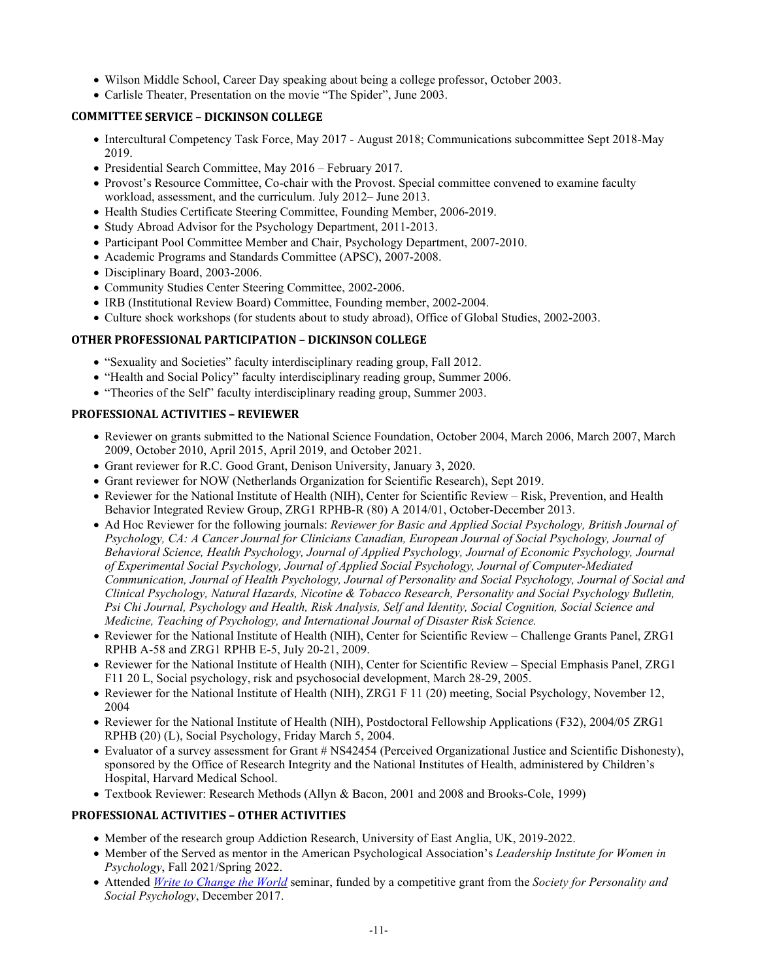- Wilson Middle School, Career Day speaking about being a college professor, October 2003.
- Carlisle Theater, Presentation on the movie "The Spider", June 2003.

# **COMMITTEE SERVICE – DICKINSON COLLEGE**

- Intercultural Competency Task Force, May 2017 August 2018; Communications subcommittee Sept 2018-May 2019.
- Presidential Search Committee, May 2016 February 2017.
- Provost's Resource Committee, Co-chair with the Provost. Special committee convened to examine faculty workload, assessment, and the curriculum. July 2012– June 2013.
- Health Studies Certificate Steering Committee, Founding Member, 2006-2019.
- Study Abroad Advisor for the Psychology Department, 2011-2013.
- Participant Pool Committee Member and Chair, Psychology Department, 2007-2010.
- Academic Programs and Standards Committee (APSC), 2007-2008.
- Disciplinary Board, 2003-2006.
- Community Studies Center Steering Committee, 2002-2006.
- IRB (Institutional Review Board) Committee, Founding member, 2002-2004.
- Culture shock workshops (for students about to study abroad), Office of Global Studies, 2002-2003.

# **OTHER PROFESSIONAL PARTICIPATION – DICKINSON COLLEGE**

- "Sexuality and Societies" faculty interdisciplinary reading group, Fall 2012.
- "Health and Social Policy" faculty interdisciplinary reading group, Summer 2006.
- "Theories of the Self" faculty interdisciplinary reading group, Summer 2003.

# **PROFESSIONAL ACTIVITIES – REVIEWER**

- Reviewer on grants submitted to the National Science Foundation, October 2004, March 2006, March 2007, March 2009, October 2010, April 2015, April 2019, and October 2021.
- Grant reviewer for R.C. Good Grant, Denison University, January 3, 2020.
- Grant reviewer for NOW (Netherlands Organization for Scientific Research), Sept 2019.
- Reviewer for the National Institute of Health (NIH), Center for Scientific Review Risk, Prevention, and Health Behavior Integrated Review Group, ZRG1 RPHB-R (80) A 2014/01, October-December 2013.
- Ad Hoc Reviewer for the following journals: *Reviewer for Basic and Applied Social Psychology, British Journal of Psychology, CA: A Cancer Journal for Clinicians Canadian, European Journal of Social Psychology, Journal of Behavioral Science, Health Psychology, Journal of Applied Psychology, Journal of Economic Psychology, Journal of Experimental Social Psychology, Journal of Applied Social Psychology, Journal of Computer-Mediated Communication, Journal of Health Psychology, Journal of Personality and Social Psychology, Journal of Social and Clinical Psychology, Natural Hazards, Nicotine & Tobacco Research, Personality and Social Psychology Bulletin, Psi Chi Journal, Psychology and Health, Risk Analysis, Self and Identity, Social Cognition, Social Science and Medicine, Teaching of Psychology, and International Journal of Disaster Risk Science.*
- Reviewer for the National Institute of Health (NIH), Center for Scientific Review Challenge Grants Panel, ZRG1 RPHB A-58 and ZRG1 RPHB E-5, July 20-21, 2009.
- Reviewer for the National Institute of Health (NIH), Center for Scientific Review Special Emphasis Panel, ZRG1 F11 20 L, Social psychology, risk and psychosocial development, March 28-29, 2005.
- Reviewer for the National Institute of Health (NIH), ZRG1 F 11 (20) meeting, Social Psychology, November 12, 2004
- Reviewer for the National Institute of Health (NIH), Postdoctoral Fellowship Applications (F32), 2004/05 ZRG1 RPHB (20) (L), Social Psychology, Friday March 5, 2004.
- Evaluator of a survey assessment for Grant # NS42454 (Perceived Organizational Justice and Scientific Dishonesty), sponsored by the Office of Research Integrity and the National Institutes of Health, administered by Children's Hospital, Harvard Medical School.
- Textbook Reviewer: Research Methods (Allyn & Bacon, 2001 and 2008 and Brooks-Cole, 1999)

## **PROFESSIONAL ACTIVITIES – OTHER ACTIVITIES**

- Member of the research group Addiction Research, University of East Anglia, UK, 2019-2022.
- Member of the Served as mentor in the American Psychological Association's *Leadership Institute for Women in Psychology*, Fall 2021/Spring 2022.
- Attended *Write to [Change the World](https://www.theopedproject.org/)* seminar, funded by a competitive grant from the *Society for Personality and Social Psychology*, December 2017.